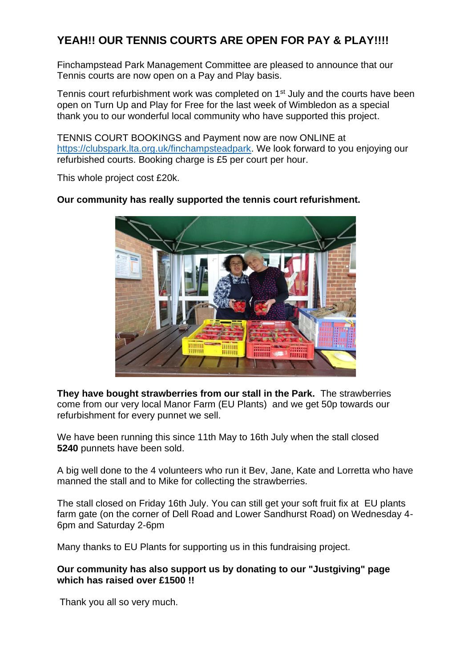## **YEAH!! OUR TENNIS COURTS ARE OPEN FOR PAY & PLAY!!!!**

Finchampstead Park Management Committee are pleased to announce that our Tennis courts are now open on a Pay and Play basis.

Tennis court refurbishment work was completed on 1<sup>st</sup> July and the courts have been open on Turn Up and Play for Free for the last week of Wimbledon as a special thank you to our wonderful local community who have supported this project.

TENNIS COURT BOOKINGS and Payment now are now ONLINE at [https://clubspark.lta.org.uk/finchampsteadpark.](https://clubspark.lta.org.uk/finchampsteadpark) We look forward to you enjoying our refurbished courts. Booking charge is £5 per court per hour.

This whole project cost £20k.

## **Our community has really supported the tennis court refurishment.**



**They have bought strawberries from our stall in the Park.** The strawberries come from our very local Manor Farm (EU Plants) and we get 50p towards our refurbishment for every punnet we sell.

We have been running this since 11th May to 16th July when the stall closed **5240** punnets have been sold.

A big well done to the 4 volunteers who run it Bev, Jane, Kate and Lorretta who have manned the stall and to Mike for collecting the strawberries.

The stall closed on Friday 16th July. You can still get your soft fruit fix at EU plants farm gate (on the corner of Dell Road and Lower Sandhurst Road) on Wednesday 4- 6pm and Saturday 2-6pm

Many thanks to EU Plants for supporting us in this fundraising project.

## **Our community has also support us by donating to our "Justgiving" page which has raised over £1500 !!**

Thank you all so very much.